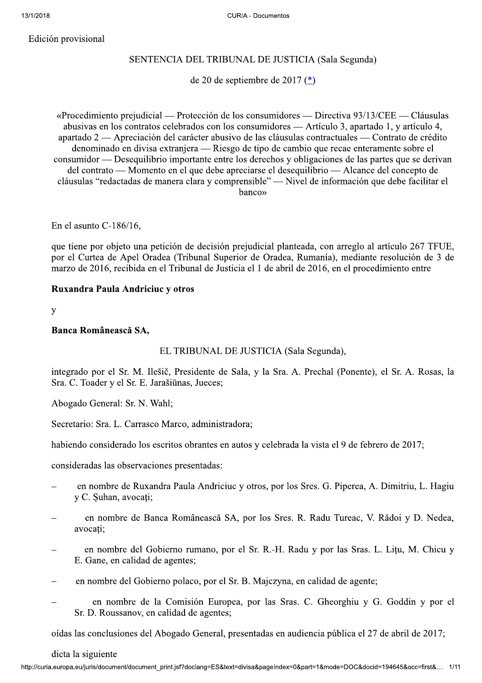Edición provisional

# SENTENCIA DEL TRIBUNAL DE JUSTICIA (Sala Segunda)

de 20 de septiembre de 2017 $(*)$ 

«Procedimiento prejudicial — Protección de los consumidores — Directiva 93/13/CEE — Cláusulas abusivas en los contratos celebrados con los consumidores — Artículo 3, apartado 1, y artículo 4, apartado 2 — Apreciación del carácter abusivo de las cláusulas contractuales — Contrato de crédito denominado en divisa extranjera — Riesgo de tipo de cambio que recae enteramente sobre el consumidor — Desequilibrio importante entre los derechos y obligaciones de las partes que se derivan del contrato — Momento en el que debe apreciarse el desequilibrio — Alcance del concepto de cláusulas "redactadas de manera clara y comprensible" — Nivel de información que debe facilitar el hanco»

En el asunto  $C-186/16$ ,

que tiene por objeto una petición de decisión prejudicial planteada, con arreglo al artículo 267 TFUE, por el Curtea de Apel Oradea (Tribunal Superior de Oradea, Rumanía), mediante resolución de 3 de marzo de 2016, recibida en el Tribunal de Justicia el 1 de abril de 2016, en el procedimiento entre

## Ruxandra Paula Andriciuc y otros

 $\overline{y}$ 

## Banca Românească SA,

## EL TRIBUNAL DE JUSTICIA (Sala Segunda),

integrado por el Sr. M. Ilešič, Presidente de Sala, y la Sra. A. Prechal (Ponente), el Sr. A. Rosas, la Sra. C. Toader y el Sr. E. Jarašiūnas, Jueces;

Abogado General: Sr. N. Wahl;

Secretario: Sra. L. Carrasco Marco, administradora;

habiendo considerado los escritos obrantes en autos y celebrada la vista el 9 de febrero de 2017;

consideradas las observaciones presentadas:

- en nombre de Ruxandra Paula Andriciuc y otros, por los Sres. G. Piperea, A. Dimitriu, L. Hagiu v C. Suhan, avocati:
- en nombre de Banca Românească SA, por los Sres. R. Radu Tureac, V. Rădoi y D. Nedea, avocati:
- en nombre del Gobierno rumano, por el Sr. R.-H. Radu y por las Sras. L. Litu, M. Chicu y E. Gane, en calidad de agentes;
- en nombre del Gobierno polaco, por el Sr. B. Majczyna, en calidad de agente;
- en nombre de la Comisión Europea, por las Sras. C. Gheorghiu y G. Goddin y por el Sr. D. Roussanov, en calidad de agentes;

oídas las conclusiones del Abogado General, presentadas en audiencia pública el 27 de abril de 2017;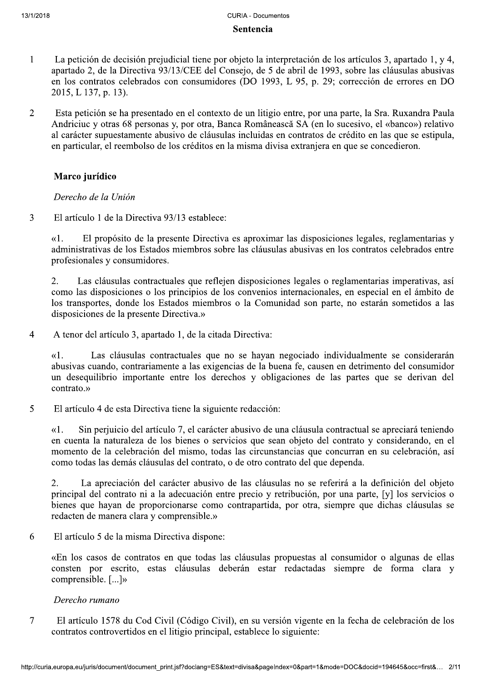## Sentencia

- La petición de decisión prejudicial tiene por objeto la interpretación de los artículos 3, apartado 1, y 4,  $\mathbf{1}$ apartado 2, de la Directiva 93/13/CEE del Consejo, de 5 de abril de 1993, sobre las cláusulas abusivas en los contratos celebrados con consumidores (DO 1993, L 95, p. 29; corrección de errores en DO 2015, L 137, p. 13).
- $\overline{\mathcal{L}}$ Esta petición se ha presentado en el contexto de un litigio entre, por una parte, la Sra. Ruxandra Paula Andriciuc y otras 68 personas y, por otra, Banca Românească SA (en lo sucesivo, el «banco») relativo al carácter supuestamente abusivo de cláusulas incluidas en contratos de crédito en las que se estipula, en particular, el reembolso de los créditos en la misma divisa extranjera en que se concedieron.

# Marco jurídico

Derecho de la Unión

 $\overline{3}$ El artículo 1 de la Directiva 93/13 establece:

> $\kappa$ 1. El propósito de la presente Directiva es aproximar las disposiciones legales, reglamentarias y administrativas de los Estados miembros sobre las cláusulas abusivas en los contratos celebrados entre profesionales y consumidores.

> $2<sup>1</sup>$ Las cláusulas contractuales que reflejen disposiciones legales o reglamentarias imperativas, así como las disposiciones o los principios de los convenios internacionales, en especial en el ámbito de los transportes, donde los Estados miembros o la Comunidad son parte, no estarán sometidos a las disposiciones de la presente Directiva.»

 $\overline{4}$ A tenor del artículo 3, apartado 1, de la citada Directiva:

Las cláusulas contractuales que no se hayan negociado individualmente se considerarán  $\kappa$ 1. abusivas cuando, contrariamente a las exigencias de la buena fe, causen en detrimento del consumidor un desequilibrio importante entre los derechos y obligaciones de las partes que se derivan del contrato »

5 El artículo 4 de esta Directiva tiene la siguiente redacción:

Sin perjuicio del artículo 7, el carácter abusivo de una cláusula contractual se apreciará teniendo  $\kappa$ 1. en cuenta la naturaleza de los bienes o servicios que sean objeto del contrato y considerando, en el momento de la celebración del mismo, todas las circunstancias que concurran en su celebración, así como todas las demás cláusulas del contrato, o de otro contrato del que dependa.

 $2.$ La apreciación del carácter abusivo de las cláusulas no se referirá a la definición del objeto principal del contrato ni a la adecuación entre precio y retribución, por una parte, [y] los servicios o bienes que havan de proporcionarse como contrapartida, por otra, siempre que dichas cláusulas se redacten de manera clara y comprensible.»

6 El artículo 5 de la misma Directiva dispone:

> «En los casos de contratos en que todas las cláusulas propuestas al consumidor o algunas de ellas consten por escrito, estas cláusulas deberán estar redactadas siempre de forma clara y comprensible. [...]»

## Derecho rumano

 $\overline{7}$ El artículo 1578 du Cod Civil (Código Civil), en su versión vigente en la fecha de celebración de los contratos controvertidos en el litigio principal, establece lo siguiente: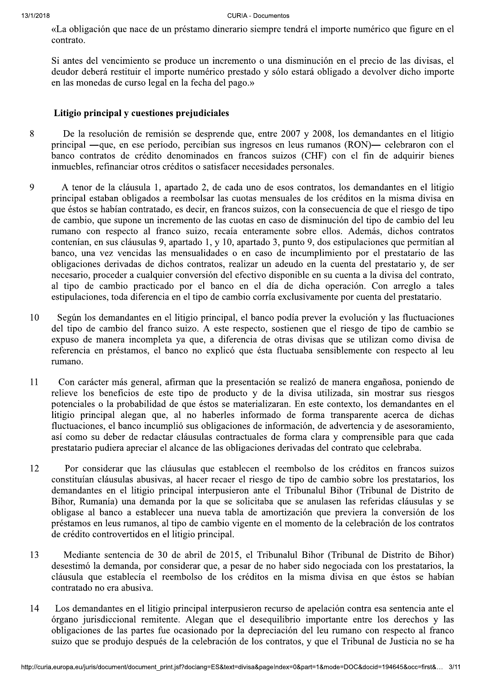«La obligación que nace de un préstamo dinerario siempre tendrá el importe numérico que figure en el contrato.

Si antes del vencimiento se produce un incremento o una disminución en el precio de las divisas, el deudor deberá restituir el importe numérico prestado y sólo estará obligado a devolver dicho importe en las monedas de curso legal en la fecha del pago.»

## Litigio principal  $v$  cuestiones prejudiciales

- 333333333333 De la resolución de remisión se desprende que, entre 2007 y 2008, los demandantes en el litigio principal —que, en ese período, percibían sus ingresos en leus rumanos (RON)— celebraron con el banco contratos de crédito denominados en francos suizos (CHF) con el fin de adquirir bienes inmuebles, refinanciar otros créditos o satisfacer necesidades personales.
- 9 A tenor de la cláusula 1, apartado 2, de cada uno de esos contratos, los demandantes en el litigio principal estaban obligados a reembolsar las cuotas mensuales de los créditos en la misma divisa en que éstos se habían contratado, es decir, en francos suizos, con la consecuencia de que el riesgo de tipo de cambio, que supone un incremento de las cuotas en caso de disminución del tipo de cambio del leu rumano con respecto al franco suizo, recaía enteramente sobre ellos. Además, dichos contratos contenían, en sus cláusulas 9, apartado 1, y 10, apartado 3, punto 9, dos estipulaciones que permitían al banco, una vez vencidas las mensualidades o en caso de incumplimiento por el prestatario de las obligaciones derivadas de dichos contratos, realizar un adeudo en la cuenta del prestatario y, de ser necesario, proceder a cualquier conversión del efectivo disponible en su cuenta a la divisa del contrato, al tipo de cambio practicado por el banco en el día de dicha operación. Con arreglo a tales  $estipulaciones, toda diferencia en el tipo de cambio corría exclusivamente por cuenta del prestatorio.$
- según los demandantes en el litigio principal, el banco podía prever la evolución y las fluctuaciones del tipo de cambio del franco suizo. A este respecto, sostienen que el riesgo de tipo de cambio se expuso de manera incompleta ya que, a diferencia de otras divisas que se utilizan como divisa de referencia en préstamos, el banco no explicó que ésta fluctuaba sensiblemente con respecto al leu rumano.
- 11 Con carácter más general, afirman que la presentación se realizó de manera engañosa, poniendo de relieve los beneficios de este tipo de producto y de la divisa utilizada, sin mostrar sus riesgos potenciales o la probabilidad de que éstos se materializaran. En este contexto, los demandantes en el litigio principal alegan que, al no haberles informado de forma transparente acerca de dichas fluctuaciones, el banco incumplió sus obligaciones de información, de advertencia y de asesoramiento, así como su deber de redactar cláusulas contractuales de forma clara y comprensible para que cada prestatario pudiera apreciar el alcance de las obligaciones derivadas del contrato que celebraba.
- 12 Por considerar que las cláusulas que establecen el reembolso de los créditos en francos suizos constituían cláusulas abusivas, al hacer recaer el riesgo de tipo de cambio sobre los prestatarios, los demandantes en el litigio principal interpusieron ante el Tribunalul Bihor (Tribunal de Distrito de Bihor, Rumanía) una demanda por la que se solicitaba que se anulasen las referidas cláusulas y se obligase al banco a establecer una nueva tabla de amortización que previera la conversión de los préstamos en leus rumanos, al tipo de cambio vigente en el momento de la celebración de los contratos de crédito controvertidos en el litigio principal.
- 13 Mediante sentencia de 30 de abril de 2015, el Tribunalul Bihor (Tribunal de Distrito de Bihor) desestimó la demanda, por considerar que, a pesar de no haber sido negociada con los prestatarios, la cláusula que establecía el reembolso de los créditos en la misma divisa en que éstos se habían contratado no era abusiva.
- en el litigio principal interpusieron recurso de apelación contra esa sentencia ante el al remitente. Alegan que el desequilibrio importante entre los derechos y las partes fue ocasionado por la depreciación del leu rumano 14 Los demandantes en el litigio principal interpusieron recurso de apelación contra esa sentencia ante el órgano jurisdiccional remitente. Alegan que el desequilibrio importante entre los derechos y las obligaciones de las partes fue ocasionado por la depreciación del leu rumano con respecto al franco suizo que se produjo después de la celebración de los contratos, y que el Tribunal de Justicia no se ha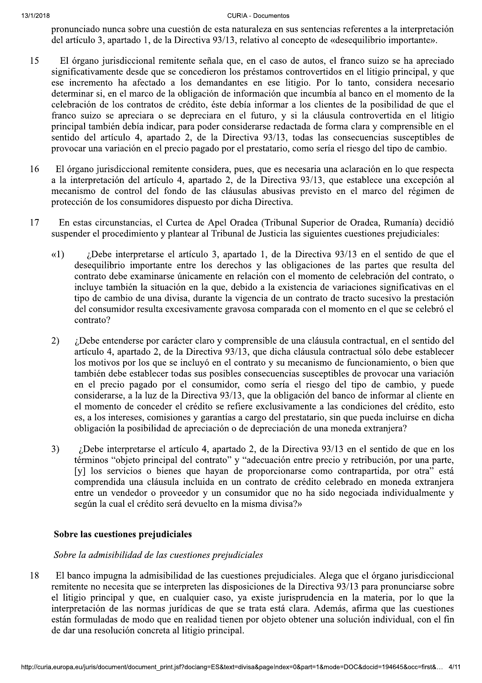pronunciado nunca sobre una cuestión de esta naturaleza en sus sentencias referentes a la interpretación del artículo 3, apartado 1, de la Directiva 93/13, relativo al concepto de «desequilibrio importante».

- 15 El órgano jurisdiccional remitente señala que, en el caso de autos, el franco suizo se ha apreciado significativamente desde que se concedieron los préstamos controvertidos en el litigio principal, y que ese incremento ha afectado a los demandantes en ese litigio. Por lo tanto, considera necesario determinar si, en el marco de la obligación de información que incumbía al banco en el momento de la celebración de los contratos de crédito, éste debía informar a los clientes de la posibilidad de que el franco suizo se apreciara o se depreciara en el futuro, y si la cláusula controvertida en el litigio principal también debía indicar, para poder considerarse redactada de forma clara y comprensible en el sentido del artículo 4, apartado 2, de la Directiva 93/13, todas las consecuencias susceptibles de provocar una variación en el precio pagado por el prestatario, como sería el riesgo del tipo de cambio.
- El órgano jurisdiccional remitente considera, pues, que es necesaria una aclaración en lo que respecta 16 a la interpretación del artículo 4, apartado 2, de la Directiva 93/13, que establece una excepción al mecanismo de control del fondo de las cláusulas abusivas previsto en el marco del régimen de protección de los consumidores dispuesto por dicha Directiva.
- 17 En estas circunstancias, el Curtea de Apel Oradea (Tribunal Superior de Oradea, Rumanía) decidió suspender el procedimiento y plantear al Tribunal de Justicia las siguientes cuestiones prejudiciales:
	- ¿Debe interpretarse el artículo 3, apartado 1, de la Directiva 93/13 en el sentido de que el  $(1)$ desequilibrio importante entre los derechos y las obligaciones de las partes que resulta del contrato debe examinarse únicamente en relación con el momento de celebración del contrato, o incluye también la situación en la que, debido a la existencia de variaciones significativas en el tipo de cambio de una divisa, durante la vigencia de un contrato de tracto sucesivo la prestación del consumidor resulta excesivamente gravosa comparada con el momento en el que se celebró el contrato?
	- 2) ¿Debe entenderse por carácter claro y comprensible de una cláusula contractual, en el sentido del artículo 4, apartado 2, de la Directiva 93/13, que dicha cláusula contractual sólo debe establecer los motivos por los que se incluyó en el contrato y su mecanismo de funcionamiento, o bien que también debe establecer todas sus posibles consecuencias susceptibles de provocar una variación en el precio pagado por el consumidor, como sería el riesgo del tipo de cambio, y puede considerarse, a la luz de la Directiva 93/13, que la obligación del banco de informar al cliente en el momento de conceder el crédito se refiere exclusivamente a las condiciones del crédito, esto es, a los intereses, comisiones y garantías a cargo del prestatario, sin que pueda incluirse en dicha obligación la posibilidad de apreciación o de depreciación de una moneda extranjera?
	- ¿Debe interpretarse el artículo 4, apartado 2, de la Directiva 93/13 en el sentido de que en los  $3)$ términos "objeto principal del contrato" y "adecuación entre precio y retribución, por una parte, [y] los servicios o bienes que hayan de proporcionarse como contrapartida, por otra" está comprendida una cláusula incluida en un contrato de crédito celebrado en moneda extranjera entre un vendedor o proveedor y un consumidor que no ha sido negociada individualmente y según la cual el crédito será devuelto en la misma divisa?»

## Sobre las cuestiones prejudiciales

## Sobre la admisibilidad de las cuestiones prejudiciales

18 El banco impugna la admisibilidad de las cuestiones prejudiciales. Alega que el órgano jurisdiccional remitente no necesita que se interpreten las disposiciones de la Directiva 93/13 para pronunciarse sobre el litigio principal y que, en cualquier caso, ya existe jurisprudencia en la materia, por lo que la interpretación de las normas jurídicas de que se trata está clara. Además, afirma que las cuestiones están formuladas de modo que en realidad tienen por objeto obtener una solución individual, con el fin de dar una resolución concreta al litigio principal.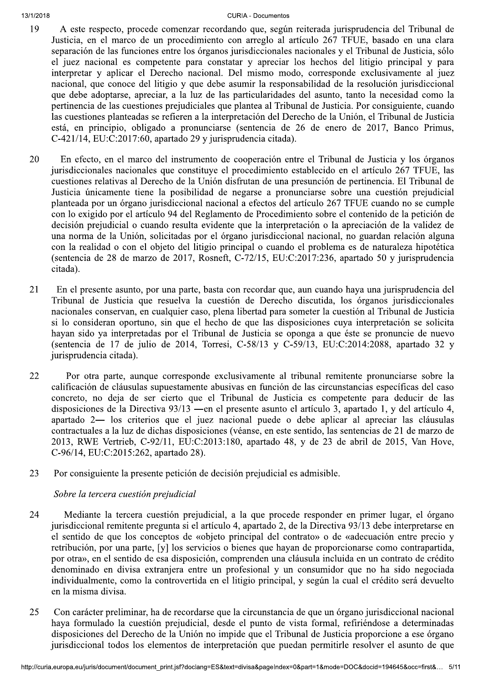#### $13/1/Z$

#### ZUIB CURIA **CURIA - Documentos**

- 19 A este respecto, procede comenzar recordando que, según reiterada jurisprudencia del Tribunal de Justicia, en el marco de un procedimiento con arreglo al artículo 267 TFUE, basado en una clara separación de las funciones entre los órganos jurisdiccionales nacionales y el Tribunal de Justicia, sólo el juez nacional es competente para constatar y apreciar los hechos del litigio principal y para interpretar y aplicar el Derecho nacional. Del mismo modo, corresponde exclusivamente al juez nacional, que conoce del litigio y que debe asumir la responsabilidad de la resolución jurisdiccional que debe adoptarse, apreciar, a la luz de las particularidades del asunto, tanto la necesidad como la pertinencia de las cuestiones prejudiciales que plantea al Tribunal de Justicia. Por consiguiente, cuando las cuestiones planteadas se refieren a la interpretación del Derecho de la Unión, el Tribunal de Justicia está, en principio, obligado a pronunciarse (sentencia de 26 de enero de 2017, Banco Primus,  $C$ -421/14, EU: $C$ :2017:60, apartado 29 y jurisprudencia citada).
- 20 En efecto, en el marco del instrumento de cooperación entre el Tribunal de Justicia y los órganos jurisdiccionales nacionales que constituye el procedimiento establecido en el artículo 267 TFUE, las euestiones relativas al Derecho de la Unión disfrutan de una presunción de pertinencia. El Tribunal de Justicia únicamente tiene la posibilidad de negarse a pronunciarse sobre una cuestión prejudicial planteada por un órgano jurisdiccional nacional a efectos del artículo 267 TFUE cuando no se cumple con lo exigido por el artículo 94 del Reglamento de Procedimiento sobre el contenido de la petición de decisión prejudicial o cuando resulta evidente que la interpretación o la apreciación de la validez de una norma de la Unión, solicitadas por el órgano jurisdiccional nacional, no guardan relación alguna con la realidad o con el objeto del litigio principal o cuando el problema es de naturaleza hipotética (sentencia de 28 de marzo de 2017, Rosneft, C-72/15, EU:C:2017:236, apartado 50 y jurisprudencia citada).
- 21 En el presente asunto, por una parte, basta con recordar que, aun cuando haya una jurisprudencia del Tribunal de Justicia que resuelva la cuestión de Derecho discutida, los órganos jurisdiccionales nacionales conservan, en cualquier caso, plena libertad para someter la cuestión al Tribunal de Justicia si lo consideran oportuno, sin que el hecho de que las disposiciones cuya interpretación se solicita hayan sido ya interpretadas por el Tribunal de Justicia se oponga a que éste se pronuncie de nuevo  $\{58/13, 2088, 2014, 2014, 2014, 2014, 2014, 2014, 2014, 2014, 2014, 2014, 2014, 2014, 2014, 2014, 2014, 2014, 2014, 2014, 2014, 2014, 2014, 2014, 2014, 2014, 2014, 2014, 2014, 2014, 2014, 2014, 2014, 2014, 2014, 2014, 2$ jurisprudencia citada).
- 22 Por otra parte, aunque corresponde exclusivamente al tribunal remitente pronunciarse sobre la  $\alpha$ ealificación de cláusulas supuestamente abusivas en función de las circunstancias específicas del caso concreto, no deja de ser cierto que el Tribunal de Justicia es competente para deducir de las disposiciones de la Directiva  $93/13$  —en el presente asunto el artículo 3, apartado 1, y del artículo 4, apartado 2- los criterios que el juez nacional puede o debe aplicar al apreciar las cláusulas  $\frac{1}{2}$ contractuales a la luz de dichas disposiciones (véanse, en este sentido, las sentencias de 21 de marzo de 2013, RWE Vertrieb, C-92/11, EU:C:2013:180, apartado 48, y de 23 de abril de 2015, Van Hove, C-96/14, EU:C:2015:262, apartado 28).
- 23 Por consiguiente la presente petición de decisión prejudicial es admisible.

# Sobre la tercera cuestión prejudicial

- 24 Mediante la tercera cuestión prejudicial, a la que procede responder en primer lugar, el órgano jurisdiccional remitente pregunta si el artículo 4, apartado 2, de la Directiva 93/13 debe interpretarse en el sentido de que los conceptos de «objeto principal del contrato» o de «adecuación entre precio y retribución, por una parte, [y] los servicios o bienes que hayan de proporcionarse como contrapartida, por otra», en el sentido de esa disposición, comprenden una cláusula incluida en un contrato de crédito denominado en divisa extranjera entre un profesional y un consumidor que no ha sido negociada individualmente, como la controvertida en el litigio principal, y según la cual el crédito será devuelto en la misma divisa.
- ninar, ha de recordarse que la circunstancia de que un órgano jurisdiccional nacional cuestión prejudicial, desde el punto de vista formal, refiriéndose a determinadas erecho de la Unión no impide que el Tribunal de Justic 25 Con carácter preliminar, ha de recordarse que la circunstancia de que un órgano jurisdiccional nacional haya formulado la cuestión prejudicial, desde el punto de vista formal, refiriéndose a determinadas disposiciones del Derecho de la Unión no impide que el Tribunal de Justicia proporcione a ese órgano jurisdiccional todos los elementos de interpretación que puedan permitirle resolver el asunto de que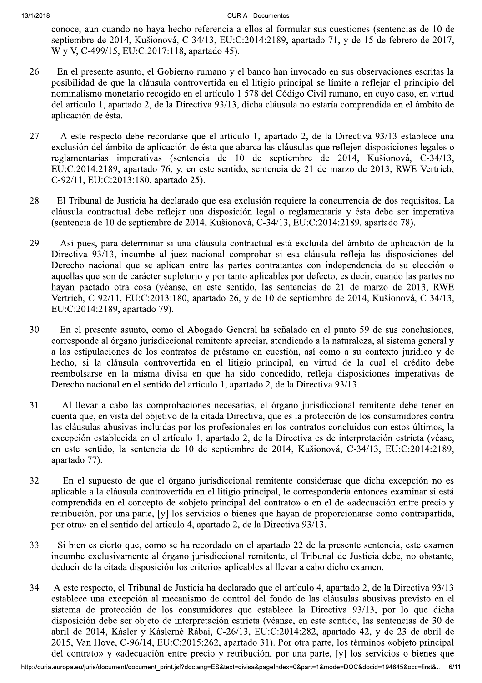conoce, aun cuando no haya hecho referencia a ellos al formular sus cuestiones (sentencias de 10 de septiembre de 2014, Kušionová, C-34/13, EU:C:2014:2189, apartado 71, y de 15 de febrero de 2017, W y V, C-499/15, EU:C:2017:118, apartado 45).

- En el presente asunto, el Gobierno rumano y el banco han invocado en sus observaciones escritas la 26 posibilidad de que la cláusula controvertida en el litigio principal se límite a reflejar el principio del nominalismo monetario recogido en el artículo 1 578 del Código Civil rumano, en cuyo caso, en virtud del artículo 1, apartado 2, de la Directiva 93/13, dicha cláusula no estaría comprendida en el ámbito de aplicación de ésta.
- 27 A este respecto debe recordarse que el artículo 1, apartado 2, de la Directiva 93/13 establece una exclusión del ámbito de aplicación de ésta que abarca las cláusulas que reflejen disposiciones legales o reglamentarias imperativas (sentencia de 10 de septiembre de 2014, Kušionová, C-34/13, EU:C:2014:2189, apartado 76, y, en este sentido, sentencia de 21 de marzo de 2013, RWE Vertrieb, C-92/11, EU:C:2013:180, apartado 25).
- El Tribunal de Justicia ha declarado que esa exclusión requiere la concurrencia de dos requisitos. La 28 cláusula contractual debe reflejar una disposición legal o reglamentaria y ésta debe ser imperativa (sentencia de 10 de septiembre de 2014, Kušionová, C-34/13, EU:C:2014:2189, apartado 78).
- 29 Así pues, para determinar si una cláusula contractual está excluida del ámbito de aplicación de la Directiva 93/13, incumbe al juez nacional comprobar si esa cláusula refleja las disposiciones del Derecho nacional que se aplican entre las partes contratantes con independencia de su elección o aquellas que son de carácter supletorio y por tanto aplicables por defecto, es decir, cuando las partes no hayan pactado otra cosa (véanse, en este sentido, las sentencias de 21 de marzo de 2013, RWE Vertrieb, C-92/11, EU:C:2013:180, apartado 26, y de 10 de septiembre de 2014, Kušionová, C-34/13, EU:C:2014:2189, apartado 79).
- 30 En el presente asunto, como el Abogado General ha señalado en el punto 59 de sus conclusiones, corresponde al órgano jurisdiccional remitente apreciar, atendiendo a la naturaleza, al sistema general y a las estipulaciones de los contratos de préstamo en cuestión, así como a su contexto jurídico y de hecho, si la cláusula controvertida en el litigio principal, en virtud de la cual el crédito debe reembolsarse en la misma divisa en que ha sido concedido, refleja disposiciones imperativas de Derecho nacional en el sentido del artículo 1, apartado 2, de la Directiva 93/13.
- $31$ Al llevar a cabo las comprobaciones necesarias, el órgano jurisdiccional remitente debe tener en cuenta que, en vista del objetivo de la citada Directiva, que es la protección de los consumidores contra las cláusulas abusivas incluidas por los profesionales en los contratos concluidos con estos últimos, la excepción establecida en el artículo 1, apartado 2, de la Directiva es de interpretación estricta (véase, en este sentido, la sentencia de 10 de septiembre de 2014, Kušionová, C-34/13, EU:C:2014:2189, apartado 77).
- En el supuesto de que el órgano jurisdiccional remitente considerase que dicha excepción no es 32 aplicable a la cláusula controvertida en el litigio principal, le correspondería entonces examinar si está comprendida en el concepto de «objeto principal del contrato» o en el de «adecuación entre precio y retribución, por una parte, [y] los servicios o bienes que hayan de proporcionarse como contrapartida, por otra» en el sentido del artículo 4, apartado 2, de la Directiva 93/13.
- 33 Si bien es cierto que, como se ha recordado en el apartado 22 de la presente sentencia, este examen incumbe exclusivamente al órgano jurisdiccional remitente, el Tribunal de Justicia debe, no obstante, deducir de la citada disposición los criterios aplicables al llevar a cabo dicho examen.
- A este respecto, el Tribunal de Justicia ha declarado que el artículo 4, apartado 2, de la Directiva 93/13 34 establece una excepción al mecanismo de control del fondo de las cláusulas abusivas previsto en el sistema de protección de los consumidores que establece la Directiva 93/13, por lo que dicha disposición debe ser objeto de interpretación estricta (véanse, en este sentido, las sentencias de 30 de abril de 2014, Kásler y Káslerné Rábai, C-26/13, EU:C:2014:282, apartado 42, y de 23 de abril de 2015, Van Hove, C-96/14, EU:C:2015:262, apartado 31). Por otra parte, los términos «objeto principal del contrato» y «adecuación entre precio y retribución, por una parte, [y] los servicios o bienes que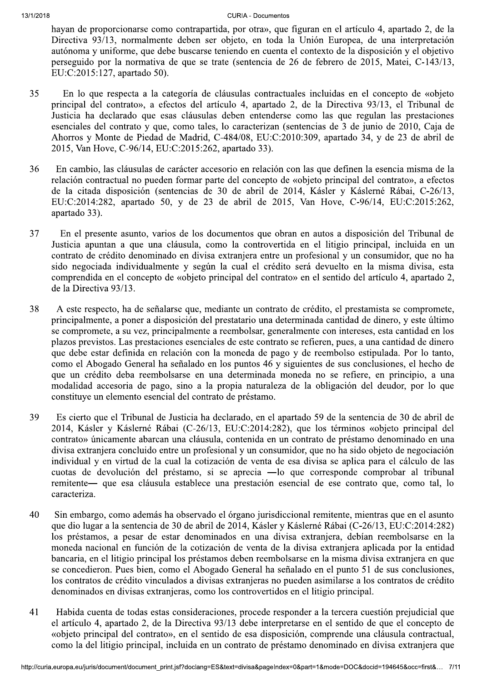hayan de proporcionarse como contrapartida, por otra», que figuran en el artículo 4, apartado 2, de la Directiva 93/13, normalmente deben ser objeto, en toda la Unión Europea, de una interpretación autónoma y uniforme, que debe buscarse teniendo en cuenta el contexto de la disposición y el objetivo perseguido por la normativa de que se trate (sentencia de 26 de febrero de 2015, Matei, C-143/13, EU:C:2015:127, apartado 50).

- En lo que respecta a la categoría de cláusulas contractuales incluidas en el concepto de «obieto 35 principal del contrato», a efectos del artículo 4, apartado 2, de la Directiva 93/13, el Tribunal de Justicia ha declarado que esas cláusulas deben entenderse como las que regulan las prestaciones esenciales del contrato y que, como tales, lo caracterizan (sentencias de 3 de junio de 2010, Caja de Ahorros y Monte de Piedad de Madrid, C-484/08, EU:C:2010:309, apartado 34, y de 23 de abril de 2015, Van Hove, C-96/14, EU:C:2015:262, apartado 33).
- 36 En cambio, las cláusulas de carácter accesorio en relación con las que definen la esencia misma de la relación contractual no pueden formar parte del concepto de «objeto principal del contrato», a efectos de la citada disposición (sentencias de 30 de abril de 2014, Kásler y Káslerné Rábai, C-26/13, EU:C:2014:282, apartado 50, y de 23 de abril de 2015, Van Hove, C-96/14, EU:C:2015:262, apartado 33).
- 37 En el presente asunto, varios de los documentos que obran en autos a disposición del Tribunal de Justicia apuntan a que una cláusula, como la controvertida en el litigio principal, incluida en un contrato de crédito denominado en divisa extranjera entre un profesional y un consumidor, que no ha sido negociada individualmente y según la cual el crédito será devuelto en la misma divisa, esta comprendida en el concepto de «objeto principal del contrato» en el sentido del artículo 4, apartado 2, de la Directiva 93/13.
- 38 A este respecto, ha de señalarse que, mediante un contrato de crédito, el prestamista se compromete, principalmente, a poner a disposición del prestatario una determinada cantidad de dinero, y este último se compromete, a su vez, principalmente a reembolsar, generalmente con intereses, esta cantidad en los plazos previstos. Las prestaciones esenciales de este contrato se refieren, pues, a una cantidad de dinero que debe estar definida en relación con la moneda de pago y de reembolso estipulada. Por lo tanto, como el Abogado General ha señalado en los puntos 46 y siguientes de sus conclusiones, el hecho de que un crédito deba reembolsarse en una determinada moneda no se refiere, en principio, a una modalidad accesoria de pago, sino a la propia naturaleza de la obligación del deudor, por lo que constituye un elemento esencial del contrato de préstamo.
- 39 Es cierto que el Tribunal de Justicia ha declarado, en el apartado 59 de la sentencia de 30 de abril de 2014, Kásler y Káslerné Rábai (C-26/13, EU:C:2014:282), que los términos «objeto principal del contrato» únicamente abarcan una cláusula, contenida en un contrato de préstamo denominado en una divisa extraniera concluido entre un profesional y un consumidor, que no ha sido objeto de negociación individual y en virtud de la cual la cotización de venta de esa divisa se aplica para el cálculo de las cuotas de devolución del préstamo, si se aprecia —lo que corresponde comprobar al tribunal remitente— que esa cláusula establece una prestación esencial de ese contrato que, como tal, lo caracteriza.
- 40 Sin embargo, como además ha observado el órgano jurisdiccional remitente, mientras que en el asunto que dio lugar a la sentencia de 30 de abril de 2014, Kásler y Káslerné Rábai (C-26/13, EU:C:2014:282) los préstamos, a pesar de estar denominados en una divisa extranjera, debían reembolsarse en la moneda nacional en función de la cotización de venta de la divisa extraniera aplicada por la entidad bancaria, en el litigio principal los préstamos deben reembolsarse en la misma divisa extranjera en que se concedieron. Pues bien, como el Abogado General ha señalado en el punto 51 de sus conclusiones, los contratos de crédito vinculados a divisas extranjeras no pueden asimilarse a los contratos de crédito denominados en divisas extranieras, como los controvertidos en el litigio principal.
- Habida cuenta de todas estas consideraciones, procede responder a la tercera cuestión prejudicial que 41 el artículo 4, apartado 2, de la Directiva 93/13 debe interpretarse en el sentido de que el concepto de «objeto principal del contrato», en el sentido de esa disposición, comprende una cláusula contractual, como la del litigio principal, incluida en un contrato de préstamo denominado en divisa extranjera que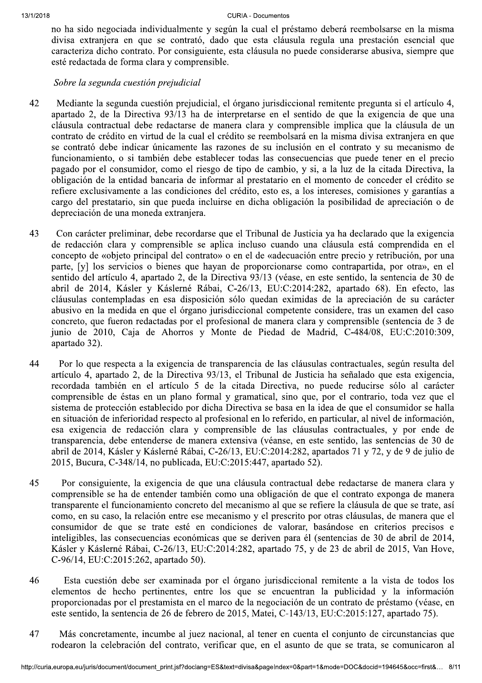no ha sido negociada individualmente y según la cual el préstamo deberá reembolsarse en la misma divisa extranjera en que se contrató, dado que esta cláusula regula una prestación esencial que caracteriza dicho contrato. Por consiguiente, esta cláusula no puede considerarse abusiva, siempre que esté redactada de forma clara y comprensible.

#### Sobre la segunda cuestión prejudicial

- 42 Mediante la segunda cuestión prejudicial, el órgano jurisdiccional remitente pregunta si el artículo 4, apartado 2, de la Directiva 93/13 ha de interpretarse en el sentido de que la exigencia de que una cláusula contractual debe redactarse de manera clara y comprensible implica que la cláusula de un contrato de crédito en virtud de la cual el crédito se reembolsará en la misma divisa extranjera en que se contrató debe indicar únicamente las razones de su inclusión en el contrato y su mecanismo de funcionamiento, o si también debe establecer todas las consecuencias que puede tener en el precio pagado por el consumidor, como el riesgo de tipo de cambio, y si, a la luz de la citada Directiva, la obligación de la entidad bancaria de informar al prestatario en el momento de conceder el crédito se refiere exclusivamente a las condiciones del crédito, esto es, a los intereses, comisiones y garantías a cargo del prestatario, sin que pueda incluirse en dicha obligación la posibilidad de apreciación o de depreciación de una moneda extranjera.
- 43 Con carácter preliminar, debe recordarse que el Tribunal de Justicia ya ha declarado que la exigencia de redacción clara y comprensible se aplica incluso cuando una cláusula está comprendida en el concepto de «objeto principal del contrato» o en el de «adecuación entre precio y retribución, por una parte, [y] los servicios o bienes que hayan de proporcionarse como contrapartida, por otra», en el sentido del artículo 4, apartado 2, de la Directiva 93/13 (véase, en este sentido, la sentencia de 30 de abril de 2014, Kásler y Káslerné Rábai, C-26/13, EU:C:2014:282, apartado 68). En efecto, las cláusulas contempladas en esa disposición sólo quedan eximidas de la apreciación de su carácter abusivo en la medida en que el órgano jurisdiccional competente considere, tras un examen del caso concreto, que fueron redactadas por el profesional de manera clara y comprensible (sentencia de 3 de junio de 2010, Caja de Ahorros y Monte de Piedad de Madrid, C-484/08, EU:C:2010:309, apartado 32).
- 44 Por lo que respecta a la exigencia de transparencia de las cláusulas contractuales, según resulta del artículo 4, apartado 2, de la Directiva 93/13, el Tribunal de Justicia ha señalado que esta exigencia, recordada también en el artículo 5 de la citada Directiva, no puede reducirse sólo al carácter comprensible de éstas en un plano formal y gramatical, sino que, por el contrario, toda vez que el sistema de protección establecido por dicha Directiva se basa en la idea de que el consumidor se halla en situación de inferioridad respecto al profesional en lo referido, en particular, al nivel de información, esa exigencia de redacción clara y comprensible de las cláusulas contractuales, y por ende de transparencia, debe entenderse de manera extensiva (véanse, en este sentido, las sentencias de 30 de abril de 2014, Kásler y Káslerné Rábai, C-26/13, EU:C:2014:282, apartados 71 y 72, y de 9 de julio de 2015, Bucura, C-348/14, no publicada, EU:C:2015:447, apartado 52).
- 45 Por consiguiente, la exigencia de que una cláusula contractual debe redactarse de manera clara y comprensible se ha de entender también como una obligación de que el contrato exponga de manera transparente el funcionamiento concreto del mecanismo al que se refiere la cláusula de que se trate, así como, en su caso, la relación entre ese mecanismo y el prescrito por otras cláusulas, de manera que el consumidor de que se trate esté en condiciones de valorar, basándose en criterios precisos e inteligibles, las consecuencias económicas que se deriven para él (sentencias de 30 de abril de 2014, Kásler y Káslerné Rábai, C-26/13, EU:C:2014:282, apartado 75, y de 23 de abril de 2015, Van Hove, C-96/14, EU:C:2015:262, apartado 50).
- 46 Esta cuestión debe ser examinada por el órgano jurisdiccional remitente a la vista de todos los elementos de hecho pertinentes, entre los que se encuentran la publicidad y la información proporcionadas por el prestamista en el marco de la negociación de un contrato de préstamo (véase, en este sentido, la sentencia de 26 de febrero de 2015, Matei, C-143/13, EU:C:2015:127, apartado 75).
- 47 Más concretamente, incumbe al juez nacional, al tener en cuenta el conjunto de circunstancias que rodearon la celebración del contrato, verificar que, en el asunto de que se trata, se comunicaron al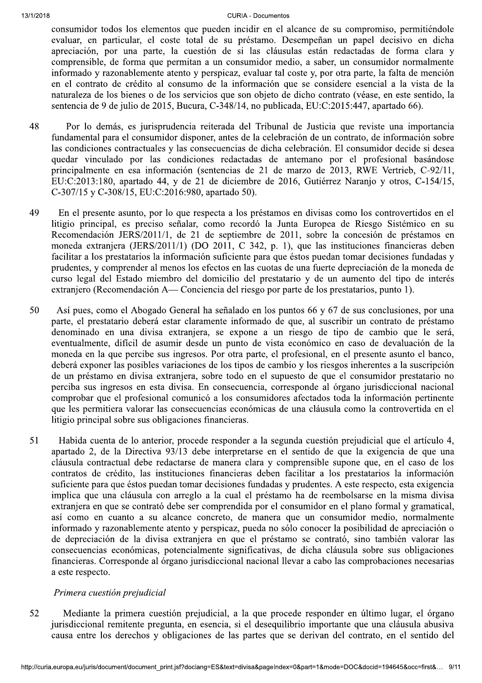#### ZUIB CURIA **CURIA - Documentos**

consumidor todos los elementos que pueden incidir en el alcance de su compromiso, permitiéndole evaluar, en particular, el coste total de su préstamo. Desempeñan un papel decisivo en dicha apreciación, por una parte, la cuestión de si las cláusulas están redactadas de forma clara y comprensible, de forma que permitan a un consumidor medio, a saber, un consumidor normalmente informado y razonablemente atento y perspicaz, evaluar tal coste y, por otra parte, la falta de mención en el contrato de crédito al consumo de la información que se considere esencial a la vista de la naturaleza de los bienes o de los servicios que son objeto de dicho contrato (véase, en este sentido, la sentencia de 9 de julio de 2015, Bucura, C-348/14, no publicada, EU:C:2015:447, apartado 66).

- 89999999 Por lo demás, es jurisprudencia reiterada del Tribunal de Justicia que reviste una importancia fundamental para el consumidor disponer, antes de la celebración de un contrato, de información sobre las condiciones contractuales y las consecuencias de dicha celebración. El consumidor decide si desea quedar vinculado por las condiciones redactadas de antemano por el profesional basándose principalmente en esa información (sentencias de 21 de marzo de 2013, RWE Vertrieb, C-92/11, EU:C:2013:180, apartado 44, y de 21 de diciembre de 2016, Gutiérrez Naranjo y otros, C-154/15, C-307/15 y C-308/15, EU:C:2016:980, apartado 50).
- En el presente asunto, por lo que respecta a los préstamos en divisas como los controvertidos en el litigio principal, es preciso señalar, como recordó la Junta Europea de Riesgo Sistémico en su Recomendación JERS/2011/1, de 21 de septiembre de 2011, sobre la concesión de préstamos en moneda extranjera (JERS/2011/1) (DO 2011, C 342, p. 1), que las instituciones financieras deben facilitar a los prestatarios la información suficiente para que éstos puedan tomar decisiones fundadas y prudentes, y comprender al menos los efectos en las cuotas de una fuerte depreciación de la moneda de curso legal del Estado miembro del domicilio del prestatario y de un aumento del tipo de interés  $extraniero (Recomendación A— Conciencia del riesgo por parte de los prestatarios, punto 1).$
- S0 Así pues, como el Abogado General ha señalado en los puntos 66 y 67 de sus conclusiones, por una parte, el prestatario deberá estar claramente informado de que, al suscribir un contrato de préstamo denominado en una divisa extranjera, se expone a un riesgo de tipo de cambio que le será, eventualmente, difícil de asumir desde un punto de vista económico en caso de devaluación de la moneda en la que percibe sus ingresos. Por otra parte, el profesional, en el presente asunto el banco, deberá exponer las posibles variaciones de los tipos de cambio y los riesgos inherentes a la suscripción de un préstamo en divisa extranjera, sobre todo en el supuesto de que el consumidor prestatario no perciba sus ingresos en esta divisa. En consecuencia, corresponde al órgano iurisdiccional nacional comprobar que el profesional comunicó a los consumidores afectados toda la información pertinente que les permitiera valorar las consecuencias económicas de una cláusula como la controvertida en el litigio principal sobre sus obligaciones financieras.
- S1 Habida cuenta de lo anterior, procede responder a la segunda cuestión prejudicial que el artículo 4, apartado 2, de la Directiva 93/13 debe interpretarse en el sentido de que la exigencia de que una cláusula contractual debe redactarse de manera clara y comprensible supone que, en el caso de los contratos de crédito, las instituciones financieras deben facilitar a los prestatarios la información suficiente para que éstos puedan tomar decisiones fundadas y prudentes. A este respecto, esta exigencia implica que una cláusula con arreglo a la cual el préstamo ha de reembolsarse en la misma divisa extranjera en que se contrató debe ser comprendida por el consumidor en el plano formal y gramatical, así como en cuanto a su alcance concreto, de manera que un consumidor medio, normalmente informado y razonablemente atento y perspicaz, pueda no sólo conocer la posibilidad de apreciación o de depreciación de la divisa extraniera en que el préstamo se contrató, sino también valorar las consecuencias económicas, potencialmente significativas, de dicha cláusula sobre sus obligaciones financieras. Corresponde al órgano jurisdiccional nacional llevar a cabo las comprobaciones necesarias a este respecto.

## Primera cuestión prejudicial

nera cuestión prejudicial, a la que procede responder en último lugar, el órgano<br>ente pregunta, en esencia, si el desequilibrio importante que una cláusula abusiva<br>echos y obligaciones de las partes que se derivan del cont SP999999<76?2:<9;?9>865<8?904<3:6G29>8<M47606?;@9?9;?9=4<9>810<7<98<3>127<89<29;:6519;4i?8@9<;9G8i?21 jurisdiccional remitente pregunta, en esencia, si el desequilibrio importante que una cláusula abusiva causa entre los derechos y obligaciones de las partes que se derivan del contrato, en el sentido del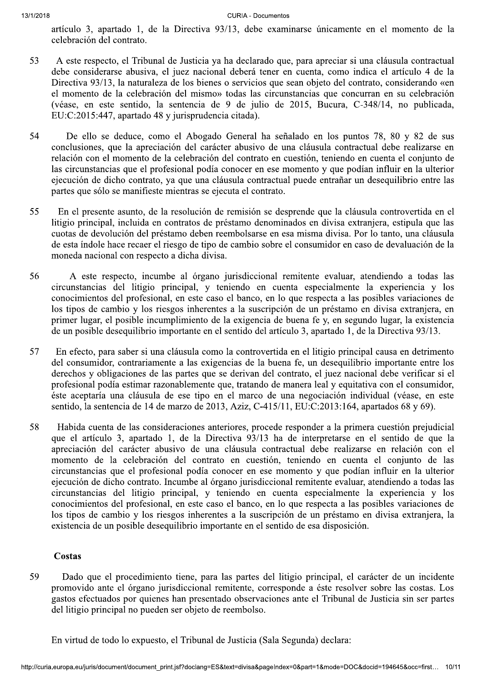artículo 3, apartado 1, de la Directiva 93/13, debe examinarse únicamente en el momento de la celebración del contrato.

- 83 A este respecto, el Tribunal de Justicia ya ha declarado que, para apreciar si una cláusula contractual debe considerarse abusiva, el juez nacional deberá tener en cuenta, como indica el artículo 4 de la Directiva 93/13, la naturaleza de los bienes o servicios que sean objeto del contrato, considerando «en el momento de la celebración del mismo» todas las circunstancias que concurran en su celebración (véase, en este sentido, la sentencia de 9 de julio de 2015, Bucura, C-348/14, no publicada,  $EU:C:2015:447$ , apartado 48 y jurisprudencia citada).
- 54 De ello se deduce, como el Abogado General ha señalado en los puntos 78, 80 y 82 de sus conclusiones, que la apreciación del carácter abusivo de una cláusula contractual debe realizarse en relación con el momento de la celebración del contrato en cuestión, teniendo en cuenta el conjunto de las circunstancias que el profesional podía conocer en ese momento y que podían influir en la ulterior ejecución de dicho contrato, ya que una cláusula contractual puede entrañar un desequilibrio entre las partes que sólo se manifieste mientras se ejecuta el contrato.
- S<sub>5</sub> En el presente asunto, de la resolución de remisión se desprende que la cláusula controvertida en el litigio principal, incluida en contratos de préstamo denominados en divisa extranjera, estipula que las cuotas de devolución del préstamo deben reembolsarse en esa misma divisa. Por lo tanto, una cláusula de esta índole hace recaer el riesgo de tipo de cambio sobre el consumidor en caso de devaluación de la moneda nacional con respecto a dicha divisa.
- 56 A este respecto, incumbe al órgano jurisdiccional remitente evaluar, atendiendo a todas las circunstancias del litigio principal, y teniendo en cuenta especialmente la experiencia y los conocimientos del profesional, en este caso el banco, en lo que respecta a las posibles variaciones de los tipos de cambio y los riesgos inherentes a la suscripción de un préstamo en divisa extranjera, en primer lugar, el posible incumplimiento de la exigencia de buena fe y, en segundo lugar, la existencia de un posible desequilibrio importante en el sentido del artículo 3, apartado 1, de la Directiva 93/13.
- $57$  En efecto, para saber si una cláusula como la controvertida en el litigio principal causa en detrimento del consumidor, contrariamente a las exigencias de la buena fe, un desequilibrio importante entre los derechos y obligaciones de las partes que se derivan del contrato, el juez nacional debe verificar si el profesional podía estimar razonablemente que, tratando de manera leal y equitativa con el consumidor, este aceptaría una cláusula de ese tipo en el marco de una negociación individual (véase, en este sentido, la sentencia de 14 de marzo de 2013, Aziz, C-415/11, EU:C:2013:164, apartados 68 y 69).
- S8 Habida cuenta de las consideraciones anteriores, procede responder a la primera cuestión prejudicial que el artículo 3, apartado 1, de la Directiva 93/13 ha de interpretarse en el sentido de que la apreciación del carácter abusivo de una cláusula contractual debe realizarse en relación con el momento de la celebración del contrato en cuestión, teniendo en cuenta el conjunto de las circunstancias que el profesional podía conocer en ese momento y que podían influir en la ulterior ejecución de dicho contrato. Incumbe al órgano jurisdiccional remitente evaluar, atendiendo a todas las circunstancias del litigio principal, y teniendo en cuenta especialmente la experiencia y los conocimientos del profesional, en este caso el banco, en lo que respecta a las posibles variaciones de los tipos de cambio y los riesgos inherentes a la suscripción de un préstamo en divisa extranjera, la  $existencia de un posible desequilibrio importante en el sentido de esa disposición.$

## Costas

no pueden ser objeto de reembolso.<br>
• expuesto, el Tribunal de Justicia (Sala Segunda) declara:<br>
\* document\_print.jsf?doclang=ES&text=divisa&pageIndex=0&part=1&mode=DOC&docid=194645&occ=first... 10/11 59 Dado que el procedimiento tiene, para las partes del litigio principal, el carácter de un incidente promovido ante el órgano jurisdiccional remitente, corresponde a éste resolver sobre las costas. Los gastos efectuados por quienes han presentado observaciones ante el Tribunal de Justicia sin ser partes del litigio principal no pueden ser objeto de reembolso.

En virtud de todo lo expuesto, el Tribunal de Justicia (Sala Segunda) declara: